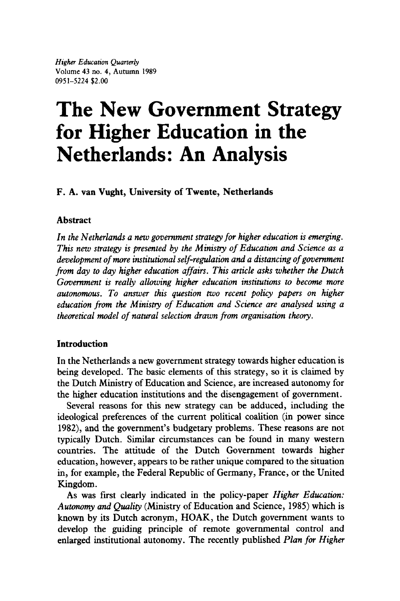**Higher Education Ouarterly Volume 43 no. 4, Autumn 1989 0951-5224 \$2.00** 

# **The New Government Strategy for Higher Education in the Netherlands: An Analysis**

**F.** A. van Vught, University of Twente, Netherlands

# Abstract

In the Netherlands a new government strategy for higher education is emerging. *This new strategy is presented by the Ministry of Education and Science as a development of we institutional self-regulation and a distancing of government*  from *day to day higher education affairs. This article asks whether the Dutch Government is really allowing higher education institutions to become more autonomous. To answer this question rwo recent policy papers on higher education* from *the Ministry of Education and Science are analysed using a theoretical model of natural sehction drawn* from *organisation theory.* 

# **Introduction**

In the Netherlands a new government strategy towards higher education is being developed. The basic elements of this strategy, *so* it is claimed by the Dutch Ministry of Education and Science, are increased autonomy for the higher education institutions and the disengagement of government.

Several reasons for **this** new strategy can be adduced, including the ideological preferences of the current political coalition (in power since **1982),** and the government's budgetary problems. These reasons are not typically Dutch. Similar circumstances can be found in many western countries. The attitude of the Dutch Government towards higher education, however, appears to be rather unique compared to the situation in, for example, the Federal Republic of Germany, France, or the United Kingdom.

**As** was frrst clearly indicated in the policy-paper *Higher Education: Autmy and Quality* (Ministry *of* Education and Science, *1985)* which is known by its Dutch acronym, HOAK, the Dutch government wants to develop the guiding principle of remote governmental control and enlarged institutional autonomy. The recently published *Plan* for *Higher*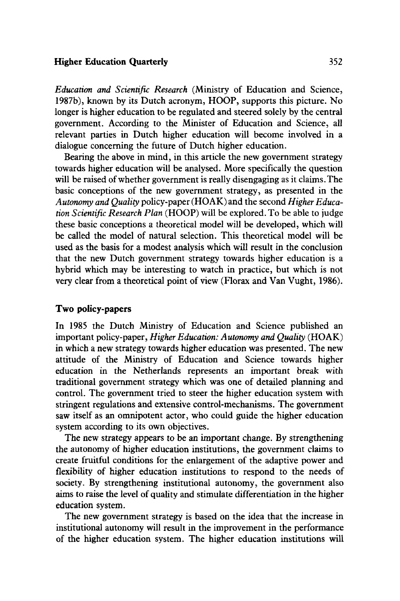# **Higher Education Quarterly 352**

*Education and Scientific Research* (Ministry of Education and Science, 1987b), known by its Dutch acronym, HOOP, supports this picture. No longer is higher education to be regulated and steered solely by the central government. According to the Minister of Education and Science, all relevant parties in Dutch higher education will become involved in a dialogue concerning the future of Dutch higher education.

Bearing the above in mind, in this article the new government strategy towards higher education will be analysed. More specifically the question will be raised of whether government is really disengaging as it claims.The basic conceptions of the new government strategy, as presented in the *Autonomy and Quality* policy-paper (HOAK) and the second Higher *Education Scientific Research Plan* (HOOP) will be explored. To be able to judge these basic conceptions a theoretical model will be developed, which will be called the model of natural selection. This theoretical model will be used as the basis for a modest analysis which will result in the conclusion that the new Dutch government strategy towards higher education is a hybrid which may be interesting to watch in practice, but which is not very clear from a theoretical point of view (Florax and Van Vught, 1986).

# **Two policy-papers**

In 1985 the Dutch Ministry of Education and Science published an important policy-paper, *Higher Education: Autonomy and Quality* (HOAK) in which a new strategy towards higher education was presented. The new attitude of the Ministry of Education and Science towards higher education in the Netherlands represents an important break with traditional government strategy which was one of detailed planning and control. The government tried to steer the higher education system with stringent regulations and extensive control-mechanisms. The government saw itself as an omnipotent actor, who could guide the higher education system according to its own objectives.

The new strategy appears to be an important change. By strengthening the autonomy of higher education institutions, the government claims to create fruitful conditions for the enlargement of the adaptive power and flexibility of higher education institutions to respond to the needs of society. By strengthening institutional autonomy, the government also aims to raise the level of quality and stimulate differentiation in the higher education system.

The new government strategy is based on the idea that the increase in institutional autonomy will result in the improvement in the performance of the higher education system. The higher education institutions will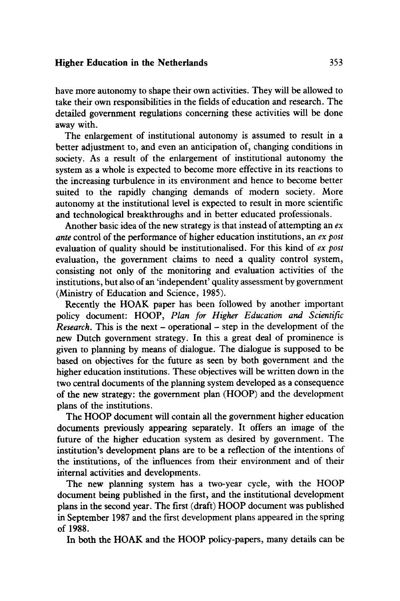have more autonomy to shape their own activities. They will be allowed to take their own responsibilities in the fields of education and research. The detailed government regulations concerning these activities will be done away with.

The enlargement of institutional autonomy is assumed to result in a better adjustment to, and even an anticipation of, changing conditions in society. As a result of the enlargement of institutional autonomy the system as a whole is expected to become more effective in its reactions to the increasing turbulence in its environment and hence to become better suited to the rapidly changing demands of modern society. More autonomy at the institutional level is expected to result in more scientific and technological breakthroughs and in better educated professionals.

Another basic idea of the new strategy is that instead of attempting an *ex*  ante control of the performance of higher education institutions, an **ex** post evaluation of quality should be institutionalised. For this kind of *ex* post evaluation, the government claims to need a quality control system, consisting not only of the monitoring and evaluation activities of the institutions, but also of an 'independent' quality assessment by government (Ministry of Education and Science, 1985).

Recently the HOAK paper has been followed by another important policy document: HOOP, *Plan for Higher Education and Scientific Research.* This is the next – operational – step in the development of the new Dutch government strategy. In this a great deal of prominence is given to planning by means of dialogue. The dialogue is supposed to be based on objectives for the future as seen by both government and the higher education institutions. These objectives will be written down in the two central documents of the planning system developed as a consequence of the new strategy: the government plan (HOOP) and the development plans of the institutions.

The HOOP document will contain all the government higher education documents previously appearing separately. It offers **an** image of the future of the higher education system as desired by government. The institution's development plans are to be a reflection of the intentions of the institutions, of the influences from their environment and of their internal activities and developments.

The new planning system has a two-year cycle, with the HOOP document being published in the first, and the institutional development plans in the second year. The first (draft) HOOP document was published in September 1987 and the first development plans appeared in the spring of 1988.

In both the HOAK and the HOOP policy-papers, many details can be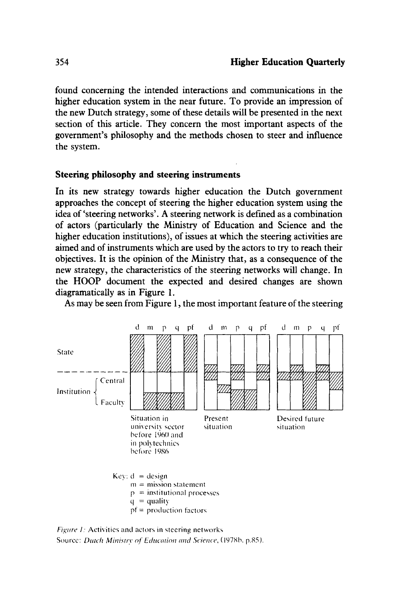found concerning the intended interactions and communications in the higher education system in the near future. To provide an impression of the new Dutch strategy, some of these details will be presented in the next section of this article. They concern the most important aspects of the government's philosophy and the methods chosen to steer and influence the system.

# **Steering philosophy and steering instruments**

In its new strategy towards higher education the Dutch government approaches the concept of steering the higher education system using the idea of 'steering networks'. A steering network is defined as a combination of actors (particularly the Ministry of Education and Science and the higher education institutions), of issues at which the steering activities are aimed and of instruments which are used by the actors to try to reach their objectives. It is the opinion of the Ministry that, as a consequence of the new strategy, the characteristics of the steering networks will change. In the HOOP document the expected and desired changes are shown diagramatically as in Figure **1.** 

As may be seen from Figure 1, the most important feature of the steering



Figure 1: Activities and actors in steering networks Source: Dutch Ministry of Education and Science, (1978b, p.85).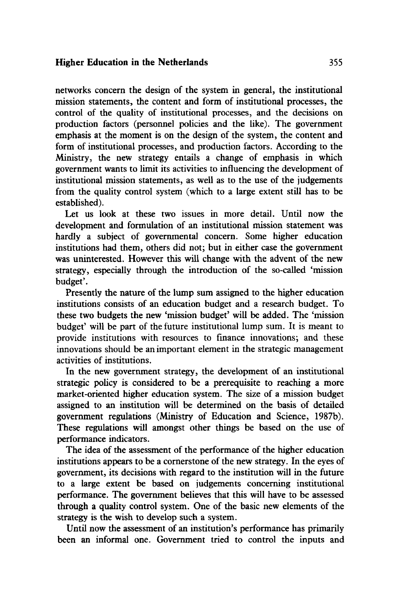networks concern the design of the system in general, the institutional mission statements, the content and form of institutional processes, the control of the quality of institutional processes, and the decisions on production factors (personnel policies and the like). The government emphasis at the moment is on the design of the system, the content and form of institutional processes, and production factors. According to the Ministry, the new strategy entails a change of emphasis in which government wants to limit its activities to influencing the development of institutional mission statements, as well as to the use of the judgements from the quality control system (which to a large extent still has to be established).

Let us look at these two issues in more detail. Until now the development and formulation of an institutional mission statement was hardly a subject of governmental concern. Some higher education institutions had them, others did not; but in either case the government was uninterested. However this will change with the advent of the new strategy, especially through the introduction of the so-called 'mission budget'.

Presently the nature of the lump sum assigned to the higher education institutions consists of an education budget and a research budget. To these two budgets the new 'mission budget' will be added. The 'mission budget' will be part of thefuture institutional lump sum. It is meant to provide institutions with resources to finance innovations; and these innovations should be an important element in the strategic management activities of institutions.

In the new government strategy, the development of an institutional strategic policy is considered to be a prerequisite to reaching a more market-oriented higher education system. The size of a mission budget assigned to an institution will be determined on the basis of detailed government regulations (Ministry of Education and Science, 1987b). These regulations will amongst other things be based on the use of performance indicators.

The idea of the assessment of the performance of the higher education institutions appears to be a cornerstone of the new strategy. In the eyes of government, its decisions with regard to the institution will in the future to a large extent be based on judgements concerning institutional performance. The government believes that this will have to be assessed through a quality control system. One of the basic new elements of the strategy is the wish to develop such a system.

Until now the assessment of an institution's performance has primarily been an informal one. Government tried to control the inputs and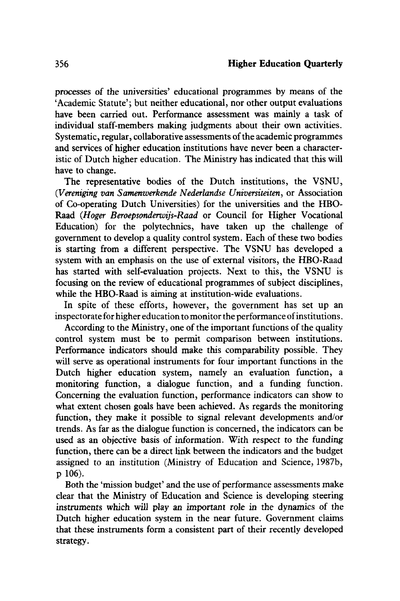processes of the universities' educational programmes by means of the 'Academic Statute'; but neither educational, nor other output evaluations have been carried out. Performance assessment was mainly a task of individual staff-members making judgments about their own activities. Systematic, regular, collaborative assessments of the academic programmes and services of higher education institutions have never been a characteristic of Dutch higher education. The Ministry has indicated that this will have to change.

The representative bodies of the Dutch institutions, the VSNU, *(Verentging van Samenwerkende Nederlandse Universiteiten,* or Association of Co-operating Dutch Universities) for the universities and the HBO-Raad (Hoger *Beroepsonderwijs-Raad* or Council for Higher Vocational Education) for the polytechnics, have taken up the challenge of government to develop a quality control system. Each of these two bodies is starting from a different perspective. The VSNU has developed a system with an emphasis on the use of external visitors, the HBO-Raad has started with self-evaluation projects. Next to this, the VSNU is focusing on the review of educational programmes of subject disciplines, while the HBO-Raad is aiming at institution-wide evaluations.

In spite of these efforts, however, the government has set up an inspectorate for higher education to monitor the performance of institutions.

According to the Ministry, one of the important functions of the quality control system must be to permit comparison between institutions. Performance indicators should make this comparability possible. They will serve as operational instruments for four important functions in the Dutch higher education system, namely an evaluation function, a monitoring function, a dialogue function, and a funding function. Concerning the evaluation function, performance indicators can show to what extent chosen goals have been achieved. As regards the monitoring function, they make it possible to signal relevant developments and/or trends. As far as the dialogue function is concerned, the indicators can be used as an objective basis of information. With respect to the funding function, there can be a direct link between the indicators and the budget assigned to an institution (Ministry of Education and Science, 1987b, p 106).

Both the 'mission budget' and the use of performance assessments make clear that the Ministry of Education and Science is developing steering instruments which **will** play an important role in the dynamics of the Dutch higher education system in the near future. Government claims that these instruments form a consistent part of their recently developed strategy.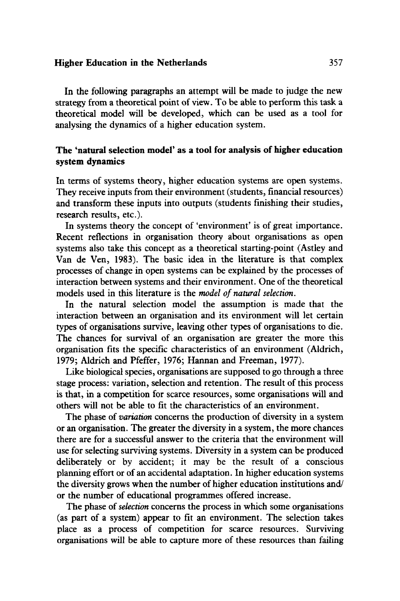In the following paragraphs an attempt will be made to judge the new strategy from a theoretical point of view. To be able to perform this task a theoretical model will be developed, which can be used as a tool for analysing the dynamics of a higher education system.

# The 'natural selection model' as a tool for analysis of higher education system dynamics

In terms of systems theory, higher education systems are open systems. They receive inputs from their environment (students, financial resources) and transform these inputs into outputs (students finishing their studies, research results, etc.).

In systems theory the concept of 'environment' is of great importance. Recent reflections in organisation theory about organisations as open systems also take this concept as a theoretical starting-point (Astley and Van de Ven, **1983).** The basic idea in the literature is that complex processes of change in open systems can be explained by the processes of interaction between systems and their environment. One of the theoretical models used in this literature is the model *of* natural selection.

In the natural selection model the assumption is made that the interaction between an organisation and its environment will let certain types of organisations survive, leaving other types of organisations to die. The chances for survival of an organisation are greater the more this organisation fits the specific characteristics of an environment (Aldrich, **1979;** Aldrich and Pfeffer, **1976;** Hannan and Freeman, **1977).** 

Like biological species, organisations are supposed to go through a three stage process: variation, selection and retention. The result of this process is that, in a competition for scarce resources, some organisations will and others will not be able to fit the characteristics of an environment.

The phase of *variation* concerns the production of diversity in a system or an organisation. The greater the diversity in a system, the more chances there are for a successful answer to the criteria that the environment will use for selecting surviving systems. Diversity in a system can be produced deliberately or by accident; it may be the result of a conscious planning effort or of an accidental adaptation. In higher education systems the diversity grows when the number of higher education institutions and/ or the number of educational programmes offered increase.

The phase of *selection* concerns the process in which some organisations (as part of a system) appear to fit an environment. The selection takes place as a process of competition for scarce resources. Surviving organisations will be able to capture more of these resources than failing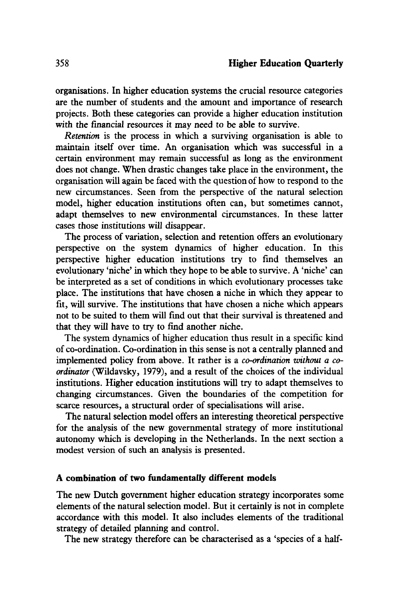organisations. In higher education systems the crucial resource categories are the number of students and the amount and importance of research projects. Both these categories can provide a higher education institution with the financial resources it **may** need to be able to survive.

*Retention* is the process in which a surviving organisation is able to maintain itself over time. An organisation which was successful in a certain environment may remain successful as long as the environment does not change. When drastic changes take place in the environment, the organisation will again be faced with the question of how to respond to the new circumstances. Seen from the perspective of the natural selection model, higher education institutions often can, but sometimes cannot, adapt themselves to new environmental circumstances. In these latter cases those institutions will disappear.

The process of variation, selection and retention offers an evolutionary perspective on the system dynamics of higher education. In this perspective higher education institutions **try** to find themselves **an**  evolutionary 'niche' in which they hope to be able to survive. A 'niche' can be interpreted as a set of conditions in which evolutionary processes take place. The institutions that have chosen a niche in which they appear to fit, will survive. The institutions that have chosen a niche which appears not to be suited to them will find out that their survival is threatened and that they will have to try to find another niche.

The system dynamics of higher education thus result in a specific kind of co-ordination. Co-ordination in this sense is not a centrally planned and implemented policy from above. It rather is a *co-ordination without* a *coordinator* (Wildavsky, **1979),** and a result of the choices of the individual institutions. Higher education institutions will try to adapt themselves to changing circumstances. Given the boundaries of the competition for scarce resources, a structural order of specialisations will arise.

The natural selection model offers an interesting theoretical perspective for the analysis of the new governmental strategy of more institutional autonomy which is developing in the Netherlands. In the next section a modest version of such an analysis is presented.

# **A combination of two fundamentally different models**

The new Dutch government higher education strategy incorporates some elements of the natural selection model. But it certainly is not in complete accordance with this model. It also includes elements of the traditional strategy of detailed planning and control.

The new strategy therefore can be characterised as a 'species of a half-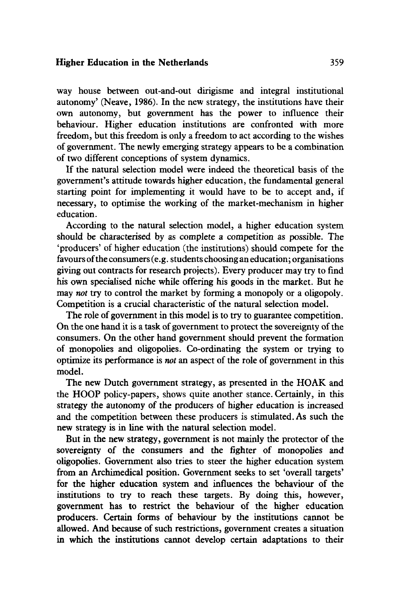way house between out-and-out dirigisme and integral institutional autonomy' (Neave, **1986).** In the new strategy, the institutions have their own autonomy, but government has the power to influence their behaviour. Higher education institutions are confronted with more freedom, but this freedom is only a freedom to act according to the wishes of government. The newly emerging strategy appears to be a combination of two different conceptions of system dynamics.

If the natural selection model were indeed the theoretical basis of the government's attitude towards higher education, the fundamental general starting point for implementing it would have to be to accept and, if necessary, to optimise the working of the market-mechanism in higher education.

According to the natural selection model, a higher education system should be characterised by as complete a competition as possible. The 'producers' of higher education (the institutions) should compete for the favours of the consumers (e.g. students choosing an education; organisations giving out contracts for research projects). Every producer may try to find his own specialised niche while offering his goods in the market. But he may not **try** to control the market by forming a monopoly or a oligopoly. Competition is a crucial characteristic of the natural selection model.

The role of government in this model is to try to guarantee competition. On the one hand it is a task of government to protect the sovereignty of the consumers. On the other hand government should prevent the formation of monopolies and oligopolies. Co-ordinating the system or trying to optimize its performance is *nor* an aspect of the role of government in this model.

The new Dutch government strategy, as presented in the HOAK and the HOOP policy-papers, shows quite another stance. Certainly, in this strategy the autonomy of the producers of higher education is increased and the competition between these producers is stimulated. As such the new strategy is in line with the natural selection model.

But in the new strategy, government is not mainly the protector of the sovereignty of the consumers and the fighter of monopolies and oligopolies. Government also tries to steer the higher education system from **an** Archimedical position. Government seeks to set 'overall targets' for the higher education system and influences the behaviour of the institutions to **try** to reach these targets. By doing this, however, government has to restrict the behaviour of the higher education producers. Certain forms of behaviour by the institutions cannot be allowed. And because of such restrictions, government creates a situation in which the institutions cannot develop certain adaptations to their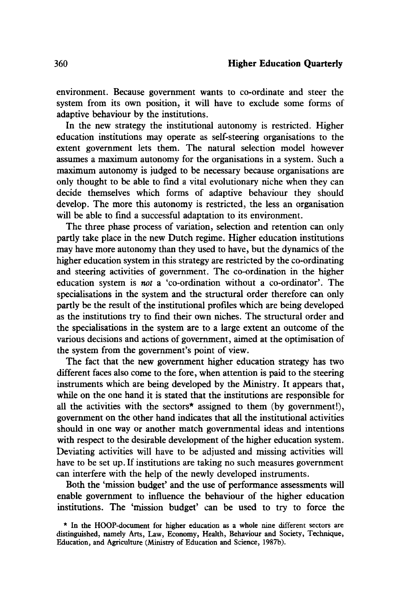environment. Because government wants to co-ordinate and steer the system from its own position, it will have to exclude some forms of adaptive behaviour by the institutions.

In the new strategy the institutional autonomy is restricted. Higher education institutions may operate as self-steering organisations to the extent government lets them. The natural selection model however assumes a maximum autonomy for the organisations in a system. Such a maximum autonomy is judged to be necessary because organisations are only thought to be able to find a vital evolutionary niche when they can decide themselves which forms of adaptive behaviour they should develop. The more this autonomy is restricted, the less an organisation will be able to find a successful adaptation to its environment.

The three phase process of variation, selection and retention can only partly take place in the new Dutch regime. Higher education institutions may have more autonomy than they used to have, but the dynamics of the higher education system in this strategy are restricted by the co-ordinating and steering activities of government. The co-ordination in the higher education system is *mt* a 'co-ordination without a co-ordinator'. The specialisations in the system and the structural order therefore can only partly be the result of the institutional profiles which are being developed as the institutions try to find their own niches. The structural order and the specialisations in the system are to a large extent an outcome of the various decisions and actions of government, aimed at the optimisation of the system from the government's point of view.

The fact that the new government higher education strategy has two different faces also come to the fore, when attention is paid to the steering instruments which are being developed by the Ministry. It appears that, while on the one hand it is stated that the institutions are responsible for all the activities with the sectors<sup>\*</sup> assigned to them (by government!), government on the other hand indicates that **all** the institutional activities should in one way **or** another match governmental ideas and intentions with respect to the desirable development of the higher education system. Deviating activities will have to be adjusted and missing activities will have to be set up. If institutions are taking no such measures government can interfere with the help of the newly developed instruments.

Both the 'mission budget' and the use of performance assessments will enable government to influence the behaviour of the higher education institutions. The 'mission budget' can be used to try to force the

<sup>\*</sup> In the HOOP-document for higher education as a whole nine different sectors are distinguished, namely **Arts,** Law, Economy, Health, Behaviour and Society, Technique, Education, and Agriculture **(Ministry** of Education and Science, **1987b).**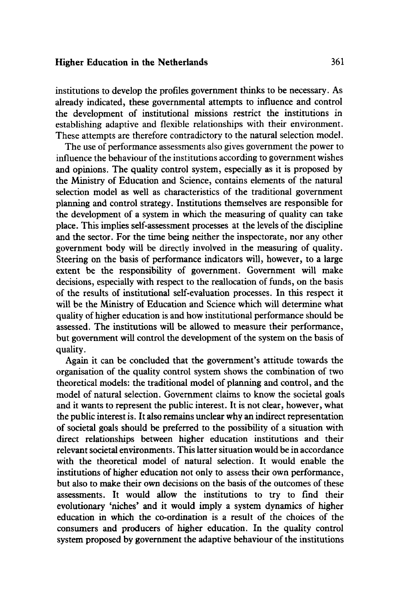institutions to develop the profiles government thinks to be necessary. As already indicated, these governmental attempts to influence and control the development of institutional missions restrict the institutions in establishing adaptive and flexible relationships with their environment. These attempts are therefore contradictory to the natural selection model.

The use of performance assessments also gives government the power to influence the behaviour of the institutions according to government wishes and opinions. The quality control system, especially as it is proposed by the Ministry of Education and Science, contains elements of the natural selection model as well as characteristics of the traditional government planning and control strategy. Institutions themselves are responsible for the development of a system in which the measuring of quality can take place. This implies self-assessment processes at the levels of the discipline and the sector. For the time being neither the inspectorate, nor any other government body will be directly involved in the measuring of quality. Steering on the basis of performance indicators will, however, to a large extent be the responsibility of government. Government will make decisions, especially with respect to the reallocation of funds, on the basis of the results of institutional self-evaluation processes. In this respect it will be the Ministry of Education and Science which will determine what quality of higher education is and how institutional performance should be assessed. The institutions will be allowed to measure their performance, but government will control the development of the system on the basis of quality.

Again it can be concluded that the government's attitude towards the organisation of the quality control system shows the combination of two theoretical models: the traditional model of planning and control, and the model of natural selection. Government claims to know the societal goals and it wants to represent the public interest. It is not clear, however, what the public interest is. It also remains unclear why an indirect representation of societal goals should be preferred to the possibility of a situation with direct relationships between higher education institutions and their relevant societal environments. This latter situation would be in accordance with the theoretical model of natural selection. It would enable the institutions of higher education not only to assess their own performance, but also to make their own decisions on the basis of the outcomes of these assessments. It would allow the institutions to try to find their evolutionary 'niches' and it would imply a system dynamics of higher education in which the co-ordination is a result of the choices of the consumers and producers of higher education. In the quality control system proposed by government the adaptive behaviour of the institutions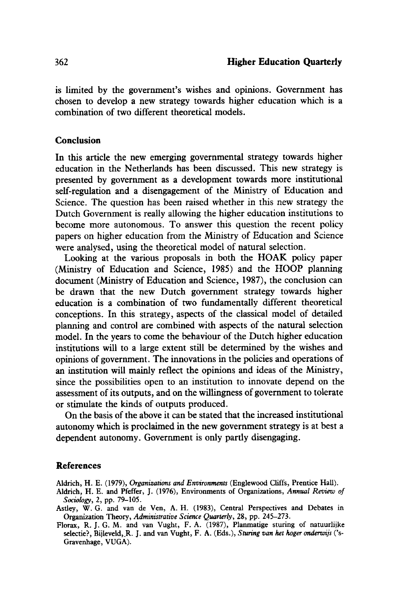is limited by the government's wishes and opinions. Government has chosen to develop a new strategy towards higher education which is a combination of two different theoretical models.

# **Conclusion**

In this article the new emerging governmental strategy towards higher education in the Netherlands has been discussed. This new strategy is presented by government as a development towards more institutional self-regulation and a disengagement of the Ministry of Education and Science. The question has been raised whether in this new strategy the Dutch Government is really allowing the higher education institutions to become more autonomous. To answer this question the recent policy papers on higher education from the Ministry of Education and Science were analysed, using the theoretical model of natural selection.

Looking at the various proposals in both the HOAK policy paper (Ministry of Education and Science, 1985) and the HOOP planning document (Ministry of Education and Science, **1987),** the conclusion can be drawn that the new Dutch government strategy towards higher education is a combination of two fundamentally different theoretical conceptions. In this strategy, aspects of the classical model of detailed planning and control are combined with aspects of the natural selection model. In the years to come the behaviour of the Dutch higher education institutions will to a large extent still be determined by the wishes and opinions of government. The innovations in the policies and operations of an institution will mainly reflect the opinions and ideas of the Ministry, since the possibilities open to an institution to innovate depend on the assessment of its outputs, and on the willingness of government to tolerate or stimulate the kinds of outputs produced.

On the basis of the above it can be stated that the increased institutional autonomy which is proclaimed in the new government strategy is at best a dependent autonomy. Government is only partly disengaging.

# **References**

Aldrich, H. E. (1979), Organizations and *Environments* (Englewood Cliffs, Prentice Hall).

- Aldrich, H. E. and Pfeffer, J. (1976), Environments of Organizations, Annual Review of *Sociology,* 2, pp. 79-105.
- Astley, W. G. and van de Ven, A. H. (1983), Central Perspectives and Debates in Organization Theory, **Adminisrrutive** *Science* **Quarferly,** 28, pp. 245-273.
- Florax, R. J. G. M. and van Vught, F. A. (1987), Planmatige sturing of natuurlijke selecue?, Bijleveld,.R. J. and van Vught, F. **A.** (Eds.), **Stuting** *van* **het hoger** *ondenuijs* **(fs-**Gravenhage, VUGA).